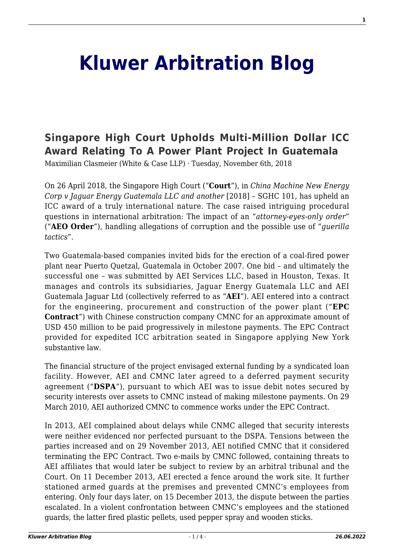## **[Kluwer Arbitration Blog](http://arbitrationblog.kluwerarbitration.com/)**

## **[Singapore High Court Upholds Multi-Million Dollar ICC](http://arbitrationblog.kluwerarbitration.com/2018/11/06/singapore-high-court-upholds-multi-million-dollar-icc-award-relating-power-plant-project-guatemala/) [Award Relating To A Power Plant Project In Guatemala](http://arbitrationblog.kluwerarbitration.com/2018/11/06/singapore-high-court-upholds-multi-million-dollar-icc-award-relating-power-plant-project-guatemala/)**

Maximilian Clasmeier (White & Case LLP) · Tuesday, November 6th, 2018

On 26 April 2018, the Singapore High Court ("**Court**"), in *China Machine New Energy Corp v Jaguar Energy Guatemala LLC and another* [2018] – SGHC 101, has upheld an ICC award of a truly international nature. The case raised intriguing procedural questions in international arbitration: The impact of an "*attorney-eyes-only order*" ("**AEO Order**"), handling allegations of corruption and the possible use of "*guerilla tactics*".

Two Guatemala-based companies invited bids for the erection of a coal-fired power plant near Puerto Quetzal, Guatemala in October 2007. One bid – and ultimately the successful one – was submitted by AEI Services LLC, based in Houston, Texas. It manages and controls its subsidiaries, Jaguar Energy Guatemala LLC and AEI Guatemala Jaguar Ltd (collectively referred to as "**AEI**"). AEI entered into a contract for the engineering, procurement and construction of the power plant ("**EPC Contract**") with Chinese construction company CMNC for an approximate amount of USD 450 million to be paid progressively in milestone payments. The EPC Contract provided for expedited ICC arbitration seated in Singapore applying New York substantive law.

The financial structure of the project envisaged external funding by a syndicated loan facility. However, AEI and CMNC later agreed to a deferred payment security agreement ("**DSPA**"), pursuant to which AEI was to issue debit notes secured by security interests over assets to CMNC instead of making milestone payments. On 29 March 2010, AEI authorized CMNC to commence works under the EPC Contract.

In 2013, AEI complained about delays while CNMC alleged that security interests were neither evidenced nor perfected pursuant to the DSPA. Tensions between the parties increased and on 29 November 2013, AEI notified CMNC that it considered terminating the EPC Contract. Two e-mails by CMNC followed, containing threats to AEI affiliates that would later be subject to review by an arbitral tribunal and the Court. On 11 December 2013, AEI erected a fence around the work site. It further stationed armed guards at the premises and prevented CMNC's employees from entering. Only four days later, on 15 December 2013, the dispute between the parties escalated. In a violent confrontation between CMNC's employees and the stationed guards, the latter fired plastic pellets, used pepper spray and wooden sticks.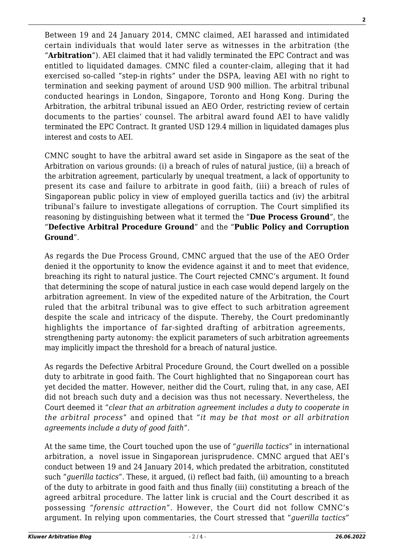Between 19 and 24 January 2014, CMNC claimed, AEI harassed and intimidated certain individuals that would later serve as witnesses in the arbitration (the "**Arbitration**"). AEI claimed that it had validly terminated the EPC Contract and was entitled to liquidated damages. CMNC filed a counter-claim, alleging that it had exercised so-called "step-in rights" under the DSPA, leaving AEI with no right to termination and seeking payment of around USD 900 million. The arbitral tribunal conducted hearings in London, Singapore, Toronto and Hong Kong. During the Arbitration, the arbitral tribunal issued an AEO Order, restricting review of certain documents to the parties' counsel. The arbitral award found AEI to have validly terminated the EPC Contract. It granted USD 129.4 million in liquidated damages plus interest and costs to AEI.

CMNC sought to have the arbitral award set aside in Singapore as the seat of the Arbitration on various grounds: (i) a breach of rules of natural justice, (ii) a breach of the arbitration agreement, particularly by unequal treatment, a lack of opportunity to present its case and failure to arbitrate in good faith, (iii) a breach of rules of Singaporean public policy in view of employed guerilla tactics and (iv) the arbitral tribunal's failure to investigate allegations of corruption. The Court simplified its reasoning by distinguishing between what it termed the "**Due Process Ground**", the "**Defective Arbitral Procedure Ground**" and the "**Public Policy and Corruption Ground**".

As regards the Due Process Ground, CMNC argued that the use of the AEO Order denied it the opportunity to know the evidence against it and to meet that evidence, breaching its right to natural justice. The Court rejected CMNC's argument. It found that determining the scope of natural justice in each case would depend largely on the arbitration agreement. In view of the expedited nature of the Arbitration, the Court ruled that the arbitral tribunal was to give effect to such arbitration agreement despite the scale and intricacy of the dispute. Thereby, the Court predominantly highlights the importance of far-sighted drafting of arbitration agreements, strengthening party autonomy: the explicit parameters of such arbitration agreements may implicitly impact the threshold for a breach of natural justice.

As regards the Defective Arbitral Procedure Ground, the Court dwelled on a possible duty to arbitrate in good faith. The Court highlighted that no Singaporean court has yet decided the matter. However, neither did the Court, ruling that, in any case, AEI did not breach such duty and a decision was thus not necessary. Nevertheless, the Court deemed it "*clear that an arbitration agreement includes a duty to cooperate in the arbitral process*" and opined that "*it may be that most or all arbitration agreements include a duty of good faith*".

At the same time, the Court touched upon the use of "*guerilla tactics*" in international arbitration, a novel issue in Singaporean jurisprudence. CMNC argued that AEI's conduct between 19 and 24 January 2014, which predated the arbitration, constituted such "*guerilla tactics*". These, it argued, (i) reflect bad faith, (ii) amounting to a breach of the duty to arbitrate in good faith and thus finally (iii) constituting a breach of the agreed arbitral procedure. The latter link is crucial and the Court described it as possessing "*forensic attraction*". However, the Court did not follow CMNC's argument. In relying upon commentaries, the Court stressed that "*guerilla tactics*"

**2**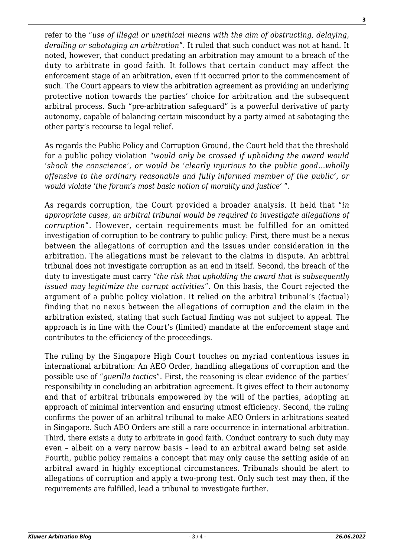refer to the "*use of illegal or unethical means with the aim of obstructing, delaying, derailing or sabotaging an arbitration*". It ruled that such conduct was not at hand. It noted, however, that conduct predating an arbitration may amount to a breach of the duty to arbitrate in good faith. It follows that certain conduct may affect the enforcement stage of an arbitration, even if it occurred prior to the commencement of such. The Court appears to view the arbitration agreement as providing an underlying protective notion towards the parties' choice for arbitration and the subsequent arbitral process. Such "pre-arbitration safeguard" is a powerful derivative of party autonomy, capable of balancing certain misconduct by a party aimed at sabotaging the other party's recourse to legal relief.

As regards the Public Policy and Corruption Ground, the Court held that the threshold for a public policy violation "*would only be crossed if upholding the award would 'shock the conscience', or would be 'clearly injurious to the public good…wholly offensive to the ordinary reasonable and fully informed member of the public', or would violate 'the forum's most basic notion of morality and justice'* ".

As regards corruption, the Court provided a broader analysis. It held that "*in appropriate cases, an arbitral tribunal would be required to investigate allegations of corruption*". However, certain requirements must be fulfilled for an omitted investigation of corruption to be contrary to public policy: First, there must be a nexus between the allegations of corruption and the issues under consideration in the arbitration. The allegations must be relevant to the claims in dispute. An arbitral tribunal does not investigate corruption as an end in itself. Second, the breach of the duty to investigate must carry "*the risk that upholding the award that is subsequently issued may legitimize the corrupt activities*". On this basis, the Court rejected the argument of a public policy violation. It relied on the arbitral tribunal's (factual) finding that no nexus between the allegations of corruption and the claim in the arbitration existed, stating that such factual finding was not subject to appeal. The approach is in line with the Court's (limited) mandate at the enforcement stage and contributes to the efficiency of the proceedings.

The ruling by the Singapore High Court touches on myriad contentious issues in international arbitration: An AEO Order, handling allegations of corruption and the possible use of "*guerilla tactics*". First, the reasoning is clear evidence of the parties' responsibility in concluding an arbitration agreement. It gives effect to their autonomy and that of arbitral tribunals empowered by the will of the parties, adopting an approach of minimal intervention and ensuring utmost efficiency. Second, the ruling confirms the power of an arbitral tribunal to make AEO Orders in arbitrations seated in Singapore. Such AEO Orders are still a rare occurrence in international arbitration. Third, there exists a duty to arbitrate in good faith. Conduct contrary to such duty may even – albeit on a very narrow basis – lead to an arbitral award being set aside. Fourth, public policy remains a concept that may only cause the setting aside of an arbitral award in highly exceptional circumstances. Tribunals should be alert to allegations of corruption and apply a two-prong test. Only such test may then, if the requirements are fulfilled, lead a tribunal to investigate further.